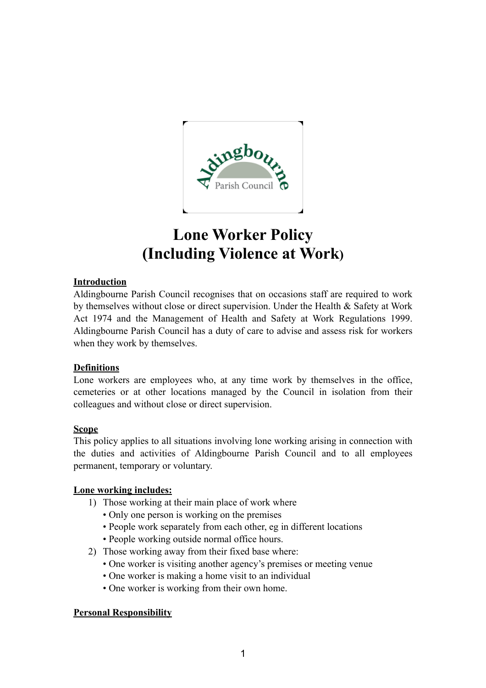

# **Lone Worker Policy (Including Violence at Work)**

## **Introduction**

Aldingbourne Parish Council recognises that on occasions staff are required to work by themselves without close or direct supervision. Under the Health & Safety at Work Act 1974 and the Management of Health and Safety at Work Regulations 1999. Aldingbourne Parish Council has a duty of care to advise and assess risk for workers when they work by themselves.

## **Definitions**

Lone workers are employees who, at any time work by themselves in the office, cemeteries or at other locations managed by the Council in isolation from their colleagues and without close or direct supervision.

## **Scope**

This policy applies to all situations involving lone working arising in connection with the duties and activities of Aldingbourne Parish Council and to all employees permanent, temporary or voluntary.

## **Lone working includes:**

- 1) Those working at their main place of work where
	- Only one person is working on the premises
	- People work separately from each other, eg in different locations
	- People working outside normal office hours.
- 2) Those working away from their fixed base where:
	- One worker is visiting another agency's premises or meeting venue
	- One worker is making a home visit to an individual
	- One worker is working from their own home.

#### **Personal Responsibility**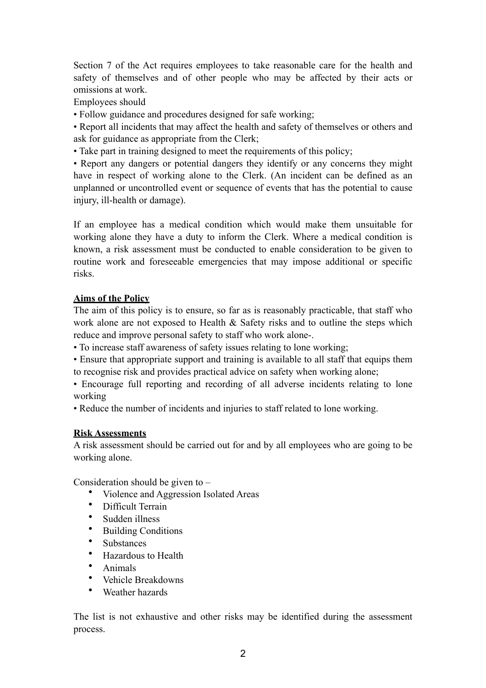Section 7 of the Act requires employees to take reasonable care for the health and safety of themselves and of other people who may be affected by their acts or omissions at work.

Employees should

• Follow guidance and procedures designed for safe working;

• Report all incidents that may affect the health and safety of themselves or others and ask for guidance as appropriate from the Clerk;

• Take part in training designed to meet the requirements of this policy;

• Report any dangers or potential dangers they identify or any concerns they might have in respect of working alone to the Clerk. (An incident can be defined as an unplanned or uncontrolled event or sequence of events that has the potential to cause injury, ill-health or damage).

If an employee has a medical condition which would make them unsuitable for working alone they have a duty to inform the Clerk. Where a medical condition is known, a risk assessment must be conducted to enable consideration to be given to routine work and foreseeable emergencies that may impose additional or specific risks.

## **Aims of the Policy**

The aim of this policy is to ensure, so far as is reasonably practicable, that staff who work alone are not exposed to Health & Safety risks and to outline the steps which reduce and improve personal safety to staff who work alone-.

• To increase staff awareness of safety issues relating to lone working;

• Ensure that appropriate support and training is available to all staff that equips them to recognise risk and provides practical advice on safety when working alone;

• Encourage full reporting and recording of all adverse incidents relating to lone working

• Reduce the number of incidents and injuries to staff related to lone working.

## **Risk Assessments**

A risk assessment should be carried out for and by all employees who are going to be working alone.

Consideration should be given to –

- Violence and Aggression Isolated Areas
- Difficult Terrain
- Sudden illness
- Building Conditions
- Substances
- Hazardous to Health
- Animals
- Vehicle Breakdowns
- Weather hazards

The list is not exhaustive and other risks may be identified during the assessment process.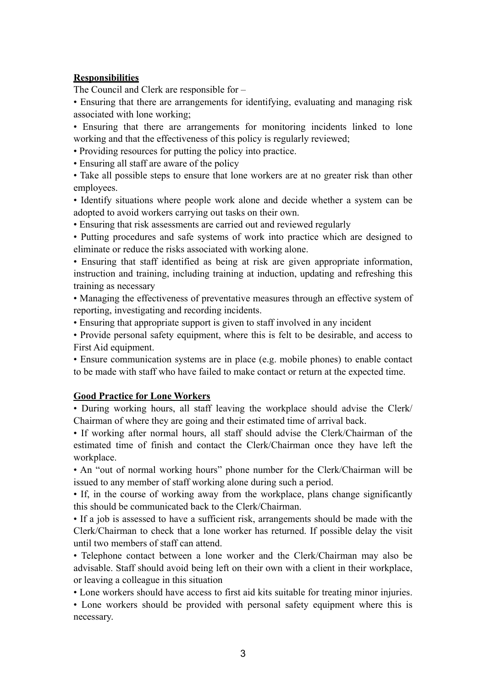#### **Responsibilities**

The Council and Clerk are responsible for –

• Ensuring that there are arrangements for identifying, evaluating and managing risk associated with lone working;

• Ensuring that there are arrangements for monitoring incidents linked to lone working and that the effectiveness of this policy is regularly reviewed;

• Providing resources for putting the policy into practice.

• Ensuring all staff are aware of the policy

• Take all possible steps to ensure that lone workers are at no greater risk than other employees.

• Identify situations where people work alone and decide whether a system can be adopted to avoid workers carrying out tasks on their own.

• Ensuring that risk assessments are carried out and reviewed regularly

• Putting procedures and safe systems of work into practice which are designed to eliminate or reduce the risks associated with working alone.

• Ensuring that staff identified as being at risk are given appropriate information, instruction and training, including training at induction, updating and refreshing this training as necessary

• Managing the effectiveness of preventative measures through an effective system of reporting, investigating and recording incidents.

• Ensuring that appropriate support is given to staff involved in any incident

• Provide personal safety equipment, where this is felt to be desirable, and access to First Aid equipment.

• Ensure communication systems are in place (e.g. mobile phones) to enable contact to be made with staff who have failed to make contact or return at the expected time.

## **Good Practice for Lone Workers**

• During working hours, all staff leaving the workplace should advise the Clerk/ Chairman of where they are going and their estimated time of arrival back.

• If working after normal hours, all staff should advise the Clerk/Chairman of the estimated time of finish and contact the Clerk/Chairman once they have left the workplace.

• An "out of normal working hours" phone number for the Clerk/Chairman will be issued to any member of staff working alone during such a period.

• If, in the course of working away from the workplace, plans change significantly this should be communicated back to the Clerk/Chairman.

• If a job is assessed to have a sufficient risk, arrangements should be made with the Clerk/Chairman to check that a lone worker has returned. If possible delay the visit until two members of staff can attend.

• Telephone contact between a lone worker and the Clerk/Chairman may also be advisable. Staff should avoid being left on their own with a client in their workplace, or leaving a colleague in this situation

• Lone workers should have access to first aid kits suitable for treating minor injuries.

• Lone workers should be provided with personal safety equipment where this is necessary.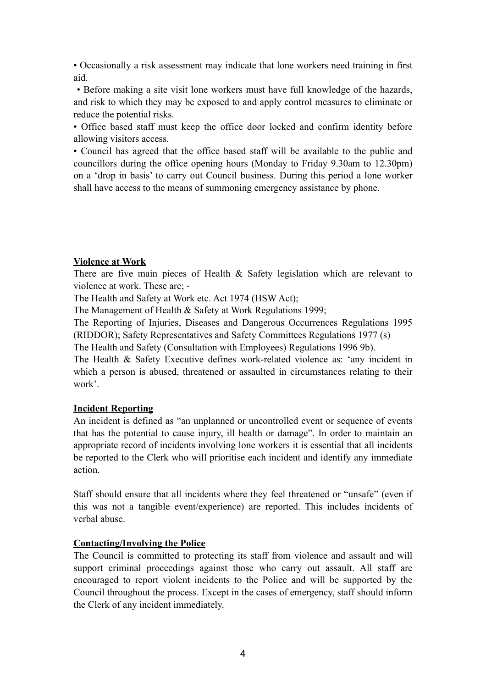• Occasionally a risk assessment may indicate that lone workers need training in first aid.

 • Before making a site visit lone workers must have full knowledge of the hazards, and risk to which they may be exposed to and apply control measures to eliminate or reduce the potential risks.

• Office based staff must keep the office door locked and confirm identity before allowing visitors access.

• Council has agreed that the office based staff will be available to the public and councillors during the office opening hours (Monday to Friday 9.30am to 12.30pm) on a 'drop in basis' to carry out Council business. During this period a lone worker shall have access to the means of summoning emergency assistance by phone.

#### **Violence at Work**

There are five main pieces of Health & Safety legislation which are relevant to violence at work. These are; -

The Health and Safety at Work etc. Act 1974 (HSW Act);

The Management of Health & Safety at Work Regulations 1999;

The Reporting of Injuries, Diseases and Dangerous Occurrences Regulations 1995 (RIDDOR); Safety Representatives and Safety Committees Regulations 1977 (s)

The Health and Safety (Consultation with Employees) Regulations 1996 9b).

The Health & Safety Executive defines work-related violence as: 'any incident in which a person is abused, threatened or assaulted in circumstances relating to their work'.

## **Incident Reporting**

An incident is defined as "an unplanned or uncontrolled event or sequence of events that has the potential to cause injury, ill health or damage". In order to maintain an appropriate record of incidents involving lone workers it is essential that all incidents be reported to the Clerk who will prioritise each incident and identify any immediate action.

Staff should ensure that all incidents where they feel threatened or "unsafe" (even if this was not a tangible event/experience) are reported. This includes incidents of verbal abuse.

## **Contacting/Involving the Police**

The Council is committed to protecting its staff from violence and assault and will support criminal proceedings against those who carry out assault. All staff are encouraged to report violent incidents to the Police and will be supported by the Council throughout the process. Except in the cases of emergency, staff should inform the Clerk of any incident immediately.